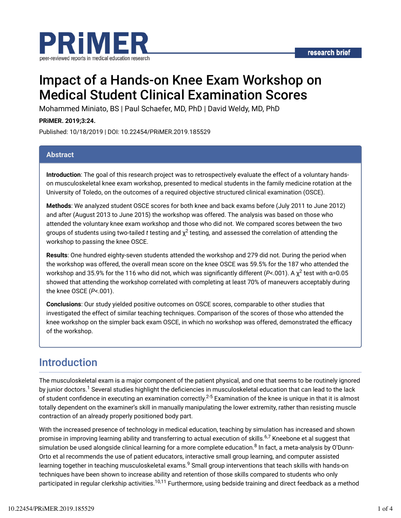

# Impact of a Hands-on Knee Exam Workshop on Medical Student Clinical Examination Scores

Mohammed Miniato, BS | Paul Schaefer, MD, PhD | David Weldy, MD, PhD

**PRiMER. 2019;3:24.**

Published: 10/18/2019 | DOI: 10.22454/PRiMER.2019.185529

#### **Abstract**

**Introduction**: The goal of this research project was to retrospectively evaluate the effect of a voluntary handson musculoskeletal knee exam workshop, presented to medical students in the family medicine rotation at the University of Toledo, on the outcomes of a required objective structured clinical examination (OSCE).

**Methods**: We analyzed student OSCE scores for both knee and back exams before (July 2011 to June 2012) and after (August 2013 to June 2015) the workshop was offered. The analysis was based on those who attended the voluntary knee exam workshop and those who did not. We compared scores between the two groups of students using two-tailed  $t$  testing and  $\chi^2$  testing, and assessed the correlation of attending the workshop to passing the knee OSCE.

**Results**: One hundred eighty-seven students attended the workshop and 279 did not. During the period when the workshop was offered, the overall mean score on the knee OSCE was 59.5% for the 187 who attended the workshop and 35.9% for the 116 who did not, which was significantly different (*P<*.001). A χ<sup>2</sup> test with α=0.05 showed that attending the workshop correlated with completing at least 70% of maneuvers acceptably during the knee OSCE (*P*<.001).

**Conclusions**: Our study yielded positive outcomes on OSCE scores, comparable to other studies that investigated the effect of similar teaching techniques. Comparison of the scores of those who attended the knee workshop on the simpler back exam OSCE, in which no workshop was offered, demonstrated the efficacy of the workshop.

### Introduction

The musculoskeletal exam is a major component of the patient physical, and one that seems to be routinely ignored by junior doctors.<sup>1</sup> Several studies highlight the deficiencies in musculoskeletal education that can lead to the lack of student confidence in executing an examination correctly. $^{2\text{-}5}$  Examination of the knee is unique in that it is almost totally dependent on the examiner's skill in manually manipulating the lower extremity, rather than resisting muscle contraction of an already properly positioned body part.

With the increased presence of technology in medical education, teaching by simulation has increased and shown promise in improving learning ability and transferring to actual execution of skills.<sup>6,7</sup> Kneebone et al suggest that simulation be used alongside clinical learning for a more complete education.<sup>8</sup> In fact, a meta-analysis by O'Dunn-Orto et al recommends the use of patient educators, interactive small group learning, and computer assisted learning together in teaching musculoskeletal exams.<sup>9</sup> Small group interventions that teach skills with hands-on techniques have been shown to increase ability and retention of those skills compared to students who only participated in regular clerkship activities.<sup>10,11</sup> Furthermore, using bedside training and direct feedback as a method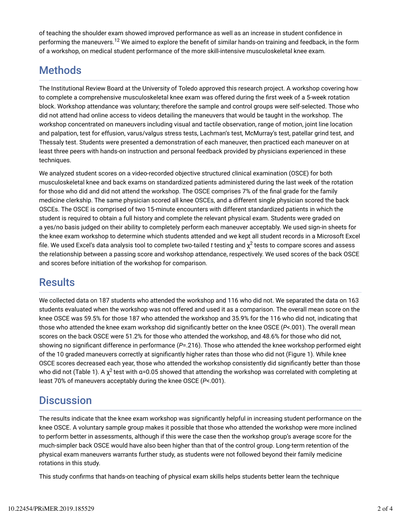of teaching the shoulder exam showed improved performance as well as an increase in student confidence in performing the maneuvers.<sup>12</sup> We aimed to explore the benefit of similar hands-on training and feedback, in the form of a workshop, on medical student performance of the more skill-intensive musculoskeletal knee exam.

# Methods

The Institutional Review Board at the University of Toledo approved this research project. A workshop covering how to complete a comprehensive musculoskeletal knee exam was offered during the first week of a 5-week rotation block. Workshop attendance was voluntary; therefore the sample and control groups were self-selected. Those who did not attend had online access to videos detailing the maneuvers that would be taught in the workshop. The workshop concentrated on maneuvers including visual and tactile observation, range of motion, joint line location and palpation, test for effusion, varus/valgus stress tests, Lachman's test, McMurray's test, patellar grind test, and Thessaly test. Students were presented a demonstration of each maneuver, then practiced each maneuver on at least three peers with hands-on instruction and personal feedback provided by physicians experienced in these techniques.

We analyzed student scores on a video-recorded objective structured clinical examination (OSCE) for both musculoskeletal knee and back exams on standardized patients administered during the last week of the rotation for those who did and did not attend the workshop. The OSCE comprises 7% of the final grade for the family medicine clerkship. The same physician scored all knee OSCEs, and a different single physician scored the back OSCEs. The OSCE is comprised of two 15-minute encounters with different standardized patients in which the student is required to obtain a full history and complete the relevant physical exam. Students were graded on a yes/no basis judged on their ability to completely perform each maneuver acceptably. We used sign-in sheets for the knee exam workshop to determine which students attended and we kept all student records in a Microsoft Excel file. We used Excel's data analysis tool to complete two-tailed  $t$  testing and  $\chi^2$  tests to compare scores and assess the relationship between a passing score and workshop attendance, respectively. We used scores of the back OSCE and scores before initiation of the workshop for comparison.

# **Results**

We collected data on 187 students who attended the workshop and 116 who did not. We separated the data on 163 students evaluated when the workshop was not offered and used it as a comparison. The overall mean score on the knee OSCE was 59.5% for those 187 who attended the workshop and 35.9% for the 116 who did not, indicating that those who attended the knee exam workshop did significantly better on the knee OSCE (*P*<.001). The overall mean scores on the back OSCE were 51.2% for those who attended the workshop, and 48.6% for those who did not, showing no significant difference in performance ( $P=$ .216). Those who attended the knee workshop performed eight of the 10 graded maneuvers correctly at significantly higher rates than those who did not (Figure 1). While knee OSCE scores decreased each year, those who attended the workshop consistently did significantly better than those who did not (Table 1). A  $\chi^2$  test with α=0.05 showed that attending the workshop was correlated with completing at least 70% of maneuvers acceptably during the knee OSCE (*P*<.001).

# **Discussion**

The results indicate that the knee exam workshop was significantly helpful in increasing student performance on the knee OSCE. A voluntary sample group makes it possible that those who attended the workshop were more inclined to perform better in assessments, although if this were the case then the workshop group's average score for the much-simpler back OSCE would have also been higher than that of the control group. Long-term retention of the physical exam maneuvers warrants further study, as students were not followed beyond their family medicine rotations in this study.

This study confirms that hands-on teaching of physical exam skills helps students better learn the technique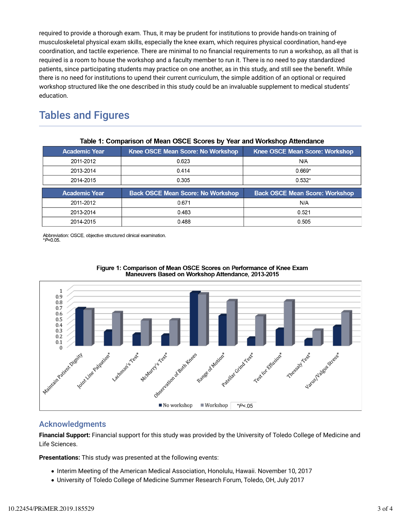required to provide a thorough exam. Thus, it may be prudent for institutions to provide hands-on training of musculoskeletal physical exam skills, especially the knee exam, which requires physical coordination, hand-eye coordination, and tactile experience. There are minimal to no financial requirements to run a workshop, as all that is required is a room to house the workshop and a faculty member to run it. There is no need to pay standardized patients, since participating students may practice on one another, as in this study, and still see the benefit. While there is no need for institutions to upend their current curriculum, the simple addition of an optional or required workshop structured like the one described in this study could be an invaluable supplement to medical students' education.

### Tables and Figures

| <b>Academic Year</b> | Knee OSCE Mean Score: No Workshop        | Knee OSCE Mean Score: Workshop        |
|----------------------|------------------------------------------|---------------------------------------|
| 2011-2012            | 0.623                                    | N/A                                   |
| 2013-2014            | 0.414                                    | $0.669*$                              |
| 2014-2015            | 0.305                                    | $0.532*$                              |
|                      |                                          |                                       |
| <b>Academic Year</b> | <b>Back OSCE Mean Score: No Workshop</b> | <b>Back OSCE Mean Score: Workshop</b> |
| 2011-2012            | 0.671                                    | N/A                                   |
| 2013-2014            | 0.483                                    | 0.521                                 |

#### Table 1: Comparison of Mean OSCE Scores by Year and Workshop Attendance

Abbreviation: OSCE, objective structured clinical examination.<br>\*P<0.05.





#### Acknowledgments

**Financial Support:** Financial support for this study was provided by the University of Toledo College of Medicine and Life Sciences.

**Presentations:** This study was presented at the following events:

- Interim Meeting of the American Medical Association, Honolulu, Hawaii. November 10, 2017
- University of Toledo College of Medicine Summer Research Forum, Toledo, OH, July 2017